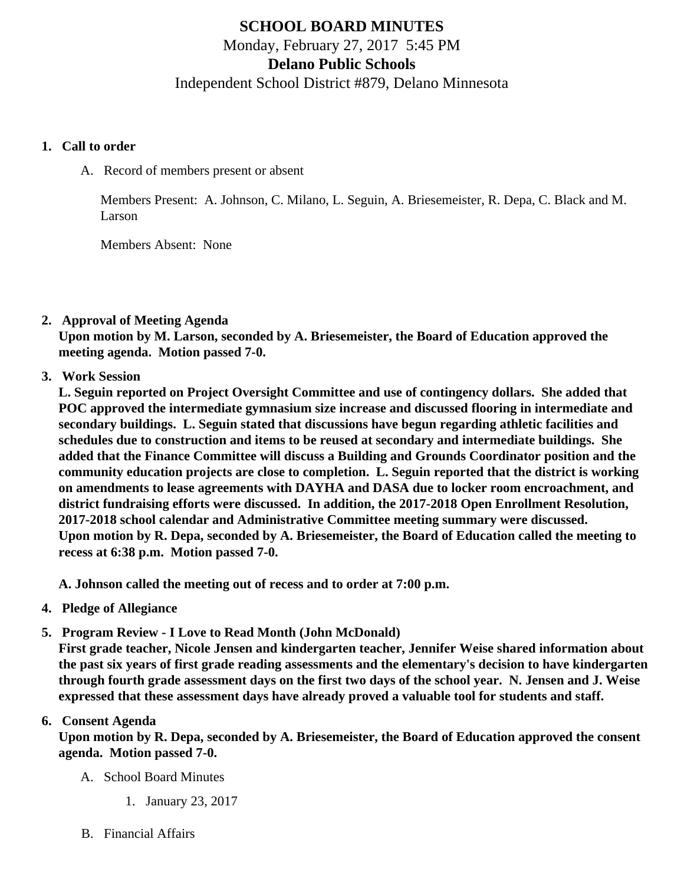# SCHOOL BOARD MINUTES Monday, February 27, 2017 5:45 PM Delano Public Schools Independent School District #879, Delano Minnesota

- 1. Call to order
	- A. Record of members present or absent

Members Present: A. Johnson, C. Milano, L. Seguin, A. Briesemeister, R. Depa, C. Black and M. Larson

Members Absent: None

2. Approval of Meeting Agenda

Upon motion by M. Larson, seconded by A. Briesemeister, the Board of Education approved the meeting agenda. Motion passed 7-0.

3. Work Session

L. Seguin reported on Project Oversight Committee and use of contingency dollars. She added that POC approved the intermediate gymnasium size increase and discussed flooring in intermediate and secondary buildings. L. Seguin stated that discussions have begun regarding athletic facilities and schedules due to construction and items to be reused at secondary and intermediate buildings. She added that the Finance Committee will discuss a Building and Grounds Coordinator position and the community education projects are close to completion. L. Seguin reported that the district is working on amendments to lease agreements with DAYHA and DASA due to locker room encroachment, and district fundraising efforts were discussed. In addition, the 2017-2018 Open Enrollment Resolution, 2017-2018 school calendar and Administrative Committee meeting summary were discussed. Upon motion by R. Depa, seconded by A. Briesemeister, the Board of Education called the meeting to recess at 6:38 p.m. Motion passed 7-0.

A. Johnson called the meeting out of recess and to order at 7:00 p.m.

- 4. Pledge of Allegiance
- 5. Program Review I Love to Read Month (John McDonald)

First grade teacher, Nicole Jensen and kindergarten teacher, Jennifer Weise shared information about the past six years of first grade reading assessments and the elementary's decision to have kindergarten through fourth grade assessment days on the first two days of the school year. N. Jensen and J. Weise expressed that these assessment days have already proved a valuable tool for students and staff.

#### 6. Consent Agenda

Upon motion by R. Depa, seconded by A. Briesemeister, the Board of Education approved the consent agenda. Motion passed 7-0.

- A. School Board Minutes
	- 1. [January 23, 201](/docs/district/District_Forms/School_Board_Minutes_1.23.17.pdf)7
- B. Financial Affairs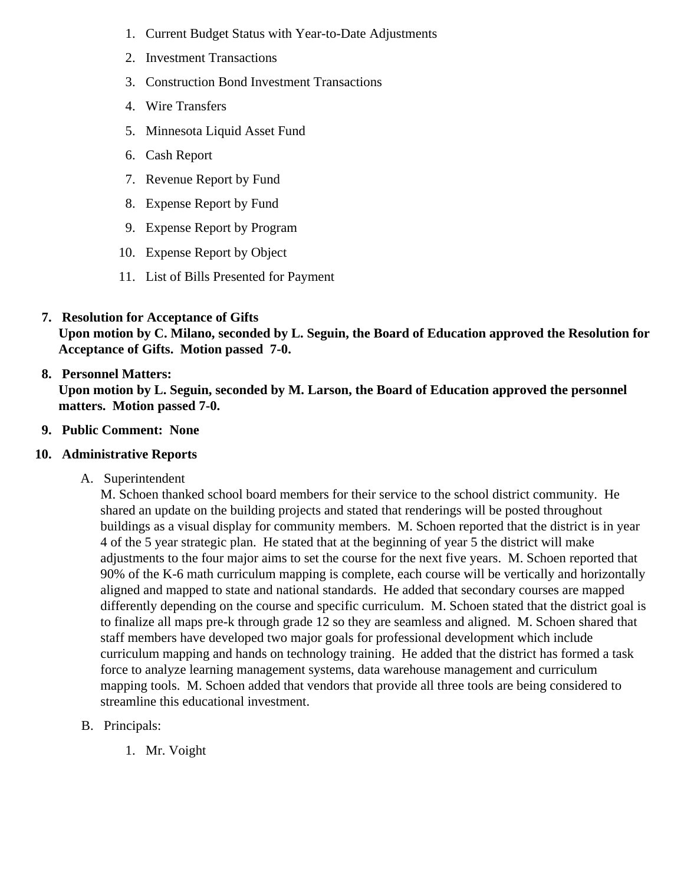- 1. [Current Budget Status with Year-to-Date Adjustm](/docs/district/Business_Office/Budget_Report_Feb_2017.pdf)ents
- 2. [I](/docs/district/Business_Office/Bond_Investment_schedule_Jan_17.pdf)[nvestment Transactio](/docs/district/Business_Office/January_2017_Investment_Schedule.pdf)ns
- 3. [Construction Bond Investment Transacti](/docs/district/Business_Office/Bond_Investment_schedule_Jan_17.pdf)ons
- 4. [Wire Transfer](/docs/district/Business_Office/January_2017_Wire_Transfer.pdf)s
- 5. [Minnesota Liquid Asset Fun](/docs/district/Business_Office/January_2017_LAF.pdf)d
- 6. [Cash Repo](/docs/district/Business_Office/January_2017_Cash_Report.pdf)rt
- 7. [Revenue Report by Fu](/docs/district/Business_Office/SCHOOL_BOARD_REPORTS_-_REVENUE_BY_FUND_TOTAL__(Date__6_2017).pdf)nd
- 8. [Expense Report by Fu](/docs/district/Business_Office/SCHOOL_BOARD_REPORTS_-_EXP_BY_FUND_TOTAL__(Date__6_2017).pdf)nd
- 9. [Expense Report by Progra](/docs/district/Business_Office/SCHOOL_BOARD_REPORTS_-_EXPENDITURES_BY_PROGRAM__(Date__6_2017).pdf)m
- 10. [Expense Report by Obje](/docs/district/Business_Office/SCHOOL_BOARD_REPORTS_-_EXPENDITURES_BY_OBJECT__(Date__6_2017).pdf)ct
- 11. [List of Bills Presented for Payme](/docs/district/Business_Office/DETAIL_OF_MONTHLY_BILLS_PRESENTED_FOR_PAYMENT_(Dates__01_01_17_-_02_23_17).pdf)nt
- 7. [Resolution for Acceptance of Gifts](/docs/district/Business_Office/Resolution_for_Acceptance_of_Gifts_2.27.17.pdf) Upon motion by C. Milano, seconded by L. Seguin, the Board of Education approved the Resolution for Acceptance of Gifts. Motion passed 7-0.
- 8. [Personnel Matters:](/docs/district/Business_Office/02.27.17.pdf) Upon motion by L. Seguin, seconded by M. Larson, the Board of Education approved the personnel matters. Motion passed 7-0.
- 9. Public Comment: None
- 10. Administrative Reports
	- A. Superintendent

M. Schoen thanked school board members for their service to the school district community. He shared an update on the building projects and stated that renderings will be posted throughout buildings as a visual display for community members. M. Schoen reported that the district is in year 4 of the 5 year strategic plan. He stated that at the beginning of year 5 the district will make adjustments to the four major aims to set the course for the next five years. M. Schoen reported th 90% of the K-6 math curriculum mapping is complete, each course will be vertically and horizontall aligned and mapped to state and national standards. He added that secondary courses are mapped differently depending on the course and specific curriculum. M. Schoen stated that the district goa to finalize all maps pre-k through grade 12 so they are seamless and aligned. M. Schoen shared that staff members have developed two major goals for professional development which include curriculum mapping and hands on technology training. He added that the district has formed a task force to analyze learning management systems, data warehouse management and curriculum mapping tools. M. Schoen added that vendors that provide all three tools are being considered to streamline this educational investment.

- B. Principals:
	- 1. Mr. Voight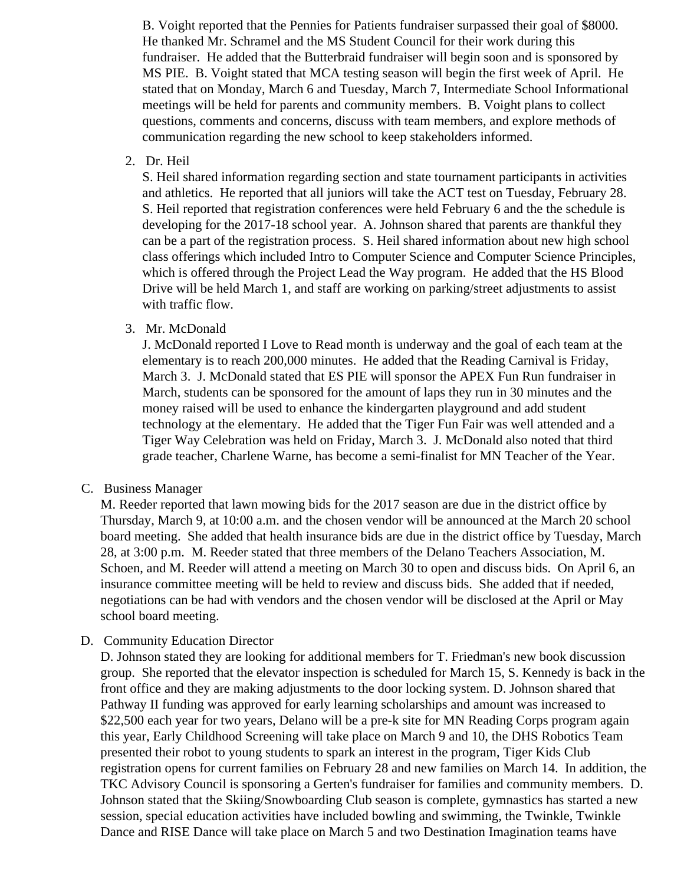B. Voight reported that the Pennies for Patients fundraiser surpassed their goal of \$8000. He thanked Mr. Schramel and the MS Student Council for their work during this fundraiser. He added that the Butterbraid fundraiser will begin soon and is sponsored by MS PIE. B. Voight stated that MCA testing season will begin the first week of April. He stated that on Monday, March 6 and Tuesday, March 7, Intermediate School Informational meetings will be held for parents and community members. B. Voight plans to collect questions, comments and concerns, discuss with team members, and explore methods of communication regarding the new school to keep stakeholders informed.

2. Dr. Heil

S. Heil shared information regarding section and state tournament participants in activities and athletics. He reported that all juniors will take the ACT test on Tuesday, February 28. S. Heil reported that registration conferences were held February 6 and the the schedule is developing for the 2017-18 school year. A. Johnson shared that parents are thankful they can be a part of the registration process. S. Heil shared information about new high school class offerings which included Intro to Computer Science and Computer Science Principles, which is offered through the Project Lead the Way program. He added that the HS Blood Drive will be held March 1, and staff are working on parking/street adjustments to assist with traffic flow.

3. Mr. McDonald

J. McDonald reported I Love to Read month is underway and the goal of each team at the elementary is to reach 200,000 minutes. He added that the Reading Carnival is Friday, March 3. J. McDonald stated that ES PIE will sponsor the APEX Fun Run fundraiser in March, students can be sponsored for the amount of laps they run in 30 minutes and the money raised will be used to enhance the kindergarten playground and add student technology at the elementary. He added that the Tiger Fun Fair was well attended and a Tiger Way Celebration was held on Friday, March 3. J. McDonald also noted that third grade teacher, Charlene Warne, has become a semi-finalist for MN Teacher of the Year.

C. Business Manager

M. Reeder reported that lawn mowing bids for the 2017 season are due in the district office by Thursday, March 9, at 10:00 a.m. and the chosen vendor will be announced at the March 20 school board meeting. She added that health insurance bids are due in the district office by Tuesday, March 28, at 3:00 p.m. M. Reeder stated that three members of the Delano Teachers Association, M. Schoen, and M. Reeder will attend a meeting on March 30 to open and discuss bids. On April 6, an insurance committee meeting will be held to review and discuss bids. She added that if needed, negotiations can be had with vendors and the chosen vendor will be disclosed at the April or May school board meeting.

D. Community Education Director

D. Johnson stated they are looking for additional members for T. Friedman's new book discussion group. She reported that the elevator inspection is scheduled for March 15, S. Kennedy is back in the front office and they are making adjustments to the door locking system. D. Johnson shared that Pathway II funding was approved for early learning scholarships and amount was increased to \$22,500 each year for two years, Delano will be a pre-k site for MN Reading Corps program again this year, Early Childhood Screening will take place on March 9 and 10, the DHS Robotics Team presented their robot to young students to spark an interest in the program, Tiger Kids Club registration opens for current families on February 28 and new families on March 14. In addition, the TKC Advisory Council is sponsoring a Gerten's fundraiser for families and community members. D. Johnson stated that the Skiing/Snowboarding Club season is complete, gymnastics has started a new session, special education activities have included bowling and swimming, the Twinkle, Twinkle Dance and RISE Dance will take place on March 5 and two Destination Imagination teams have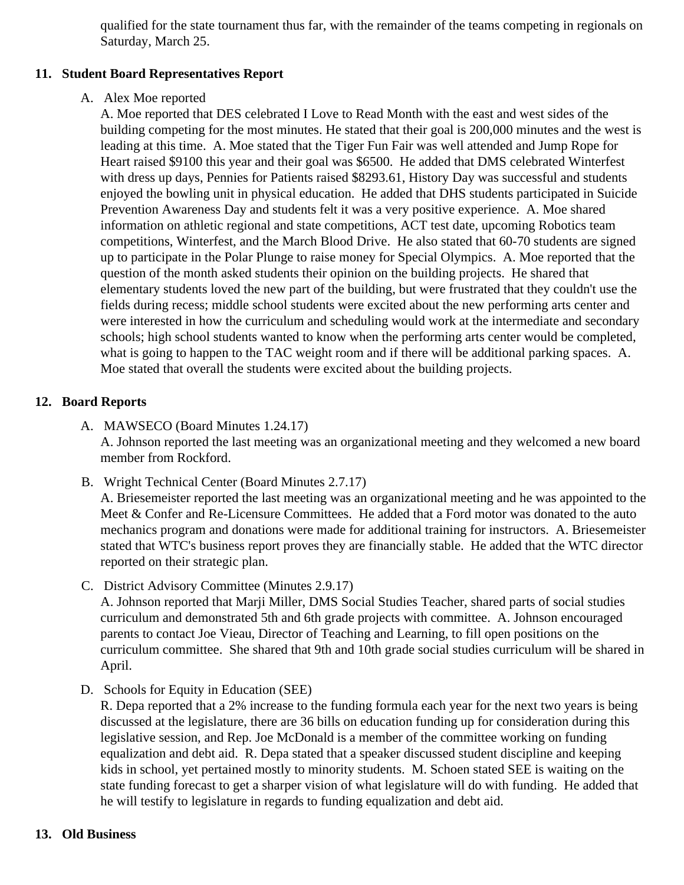qualified for the state tournament thus far, with the remainder of the teams competing in regionals Saturday, March 25.

## 11. Student Board Representatives Report

#### A. Alex Moe reported

A. Moe reported that DES celebrated I Love to Read Month with the east and west sides of the building competing for the most minutes. He stated that their goal is 200,000 minutes and the west leading at this time. A. Moe stated that the Tiger Fun Fair was well attended and Jump Rope for Heart raised \$9100 this year and their goal was \$6500. He added that DMS celebrated Winterfest with dress up days, Pennies for Patients raised \$8293.61, History Day was successful and student enjoyed the bowling unit in physical education. He added that DHS students participated in Suicide Prevention Awareness Day and students felt it was a very positive experience. A. Moe shared information on athletic regional and state competitions, ACT test date, upcoming Robotics team competitions, Winterfest, and the March Blood Drive. He also stated that 60-70 students are signe up to participate in the Polar Plunge to raise money for Special Olympics. A. Moe reported that the question of the month asked students their opinion on the building projects. He shared that elementary students loved the new part of the building, but were frustrated that they couldn't use the fields during recess; middle school students were excited about the new performing arts center and were interested in how the curriculum and scheduling would work at the intermediate and seconda schools; high school students wanted to know when the performing arts center would be completed what is going to happen to the TAC weight room and if there will be additional parking spaces. A. Moe stated that overall the students were excited about the building projects.

## 12. Board Reports

- A. MAWSECO Board Minutes 1.24.17 A. Johnson reported the last meeting was an organizational meeting and they welcomed a new board member from Rockford.
- B. Wright Technical Center Board Minutes 2.7.17

A. Briesemeister reported the last meeting was an organizational meeting and he was appointed to Meet & Confer and Re-Licensure Committees. He added that a Ford motor was donated to the au mechanics program and donations were made for additional training for instructors. A. Briesemeis stated that WTC's business report proves they are financially stable. He added that the WTC directors reported on their strategic plan.

C. District Advisory Committee Minutes 2.9.17

A. Johnson reported that Marji Miller, DMS Social Studies Teacher, shared parts of social studies curriculum and demonstrated 5th and 6th grade projects with committee. A. Johnson encouraged parents to contact Joe Vieau, Director of Teaching and Learning, to fill open positions on the curriculum committee. She shared that 9th and 10th grade social studies curriculum will be shared April.

D. Schools for Equity in Education (SEE)

R. Depa reported that a 2% increase to the funding formula each year for the next two years is being discussed at the legislature, there are 36 bills on education funding up for consideration during this legislative session, and Rep. Joe McDonald is a member of the committee working on funding equalization and debt aid. R. Depa stated that a speaker discussed student discipline and keeping kids in school, yet pertained mostly to minority students. M. Schoen stated SEE is waiting on the state funding forecast to get a sharper vision of what legislature will do with funding. He added that he will testify to legislature in regards to funding equalization and debt aid.